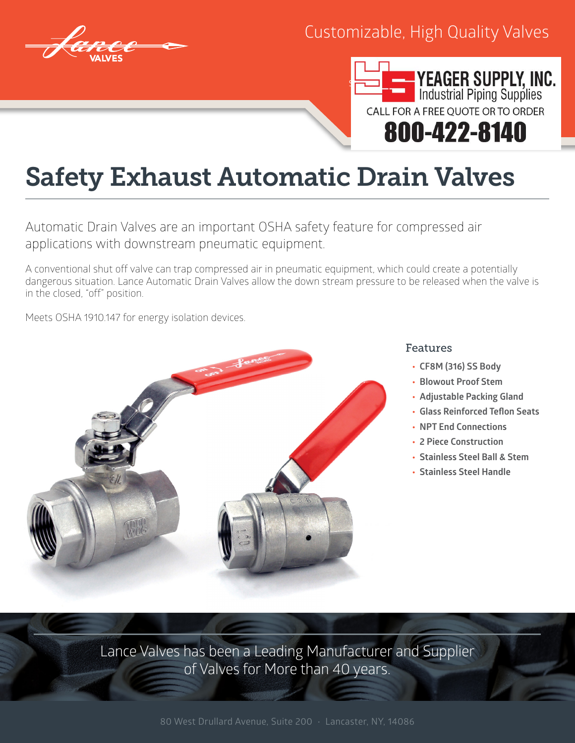

## Customizable, High Quality Valves



## Safety Exhaust Automatic Drain Valves

Automatic Drain Valves are an important OSHA safety feature for compressed air applications with downstream pneumatic equipment.

A conventional shut off valve can trap compressed air in pneumatic equipment, which could create a potentially dangerous situation. Lance Automatic Drain Valves allow the down stream pressure to be released when the valve is in the closed, "off" position.

Meets OSHA 1910.147 for energy isolation devices.



## Features

- **• CF8M (316) SS Body**
- **• Blowout Proof Stem**
- **• Adjustable Packing Gland**
- **• Glass Reinforced Teflon Seats**
- **• NPT End Connections**
- **• 2 Piece Construction**
- **• Stainless Steel Ball & Stem**
- **• Stainless Steel Handle**

Lance Valves has been a Leading Manufacturer and Supplier of Valves for More than 40 years.